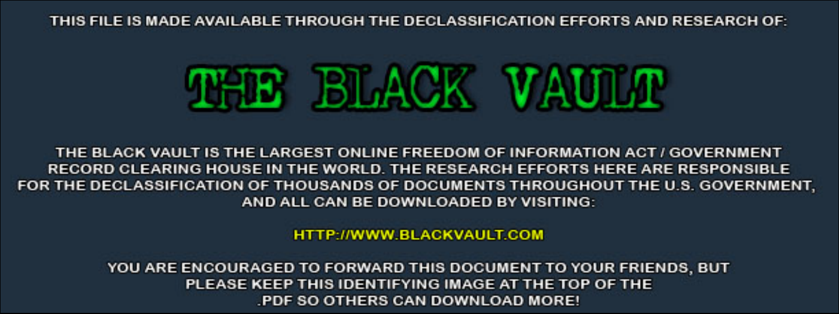THIS FILE IS MADE AVAILABLE THROUGH THE DECLASSIFICATION EFFORTS AND RESEARCH OF:



THE BLACK VAULT IS THE LARGEST ONLINE FREEDOM OF INFORMATION ACT / GOVERNMENT RECORD CLEARING HOUSE IN THE WORLD. THE RESEARCH EFFORTS HERE ARE RESPONSIBLE FOR THE DECLASSIFICATION OF THOUSANDS OF DOCUMENTS THROUGHOUT THE U.S. GOVERNMENT, AND ALL CAN BE DOWNLOADED BY VISITING:

**HTTP://WWW.BLACKVAULT.COM** 

YOU ARE ENCOURAGED TO FORWARD THIS DOCUMENT TO YOUR FRIENDS, BUT PLEASE KEEP THIS IDENTIFYING IMAGE AT THE TOP OF THE PDF SO OTHERS CAN DOWNLOAD MORE!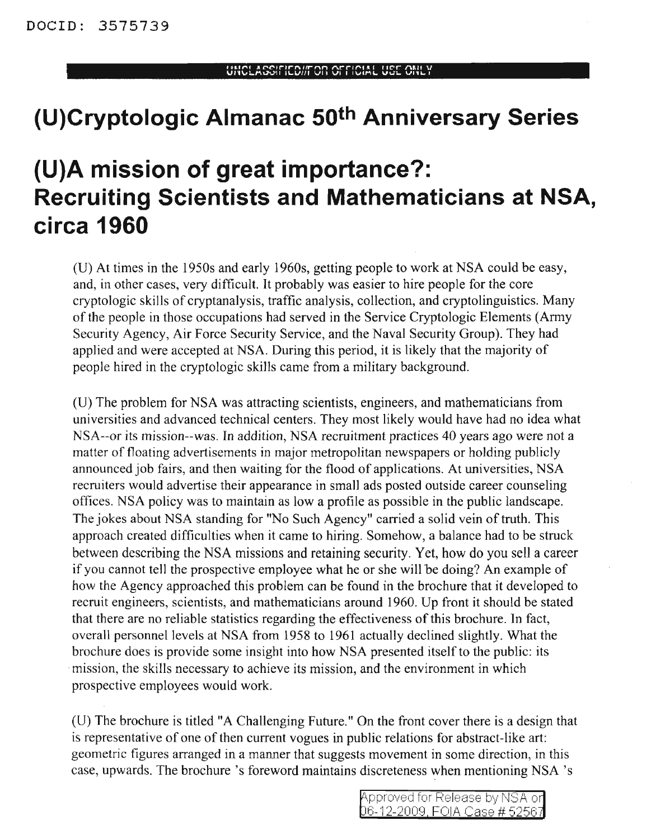## **(U)Cryptologic Almanac 50th Anniversary Series**

## **{U)A mission of great importance?: Recruiting Scientists and Mathematicians at NSA, circa 1960**

(D) At times in the 1950s and early 1960s, getting people to work at NSA could be easy, and, in other cases, very difficult. It probably was easier to hire people for the core cryptologic skills of cryptanalysis, traffic analysis, collection, and cryptolinguistics. Many ofthe people in those occupations had served in the Service Cryptologic Elements (Army Security Agency, Air Force Security Service, and the Naval Security Group). They had applied and were accepted at NSA. During this period, it is likely that the majority of people hired in the cryptologic skills came from a military background.

(D) The problem for NSA was attracting scientists, engineers, and mathematicians from universities and advanced technical centers. They most likely would have had no idea what NSA--or its mission--was. In addition, NSA recruitment practices 40 years ago were not a matter of floating advertisements in major metropolitan newspapers or holding publicly announced job fairs, and then waiting for the flood of applications. At universities, NSA recruiters would advertise their appearance in small ads posted outside career counseling offices. NSA policy was to maintain as Iowa profile as possible in the public landscape. The jokes about NSA standing for "No Such Agency" carried a solid vein of truth. This approach created difficulties when it came to hiring. Somehow, a balance had to be struck between describing the NSA missions and retaining security. Yet, how do you sell a career if you cannot tell the prospective employee what he or she will be doing? An example of how the Agency approached this problem can be found in the brochure that it developed to recruit engineers, scientists, and mathematicians around 1960. Dp front it should be stated that there are no reliable statistics regarding the effectiveness of this brochure. In fact, overall personnel levels at NSA from 1958 to 1961 actually declined slightly. What the brochure does is provide some insight into how NSA presented itself to the public: its mission, the skills necessary to achieve its mission, and the environment in which prospective employees would work.

(U) The brochure is titled "A Challenging Future." On the front cover there is a design that is representative of one of then current vogues in public relations for abstract-like art: geometric figures arranged in a manner that suggests movement in some direction, in this case, upwards. The brochure's foreword maintains discreteness when mentioning NSA 's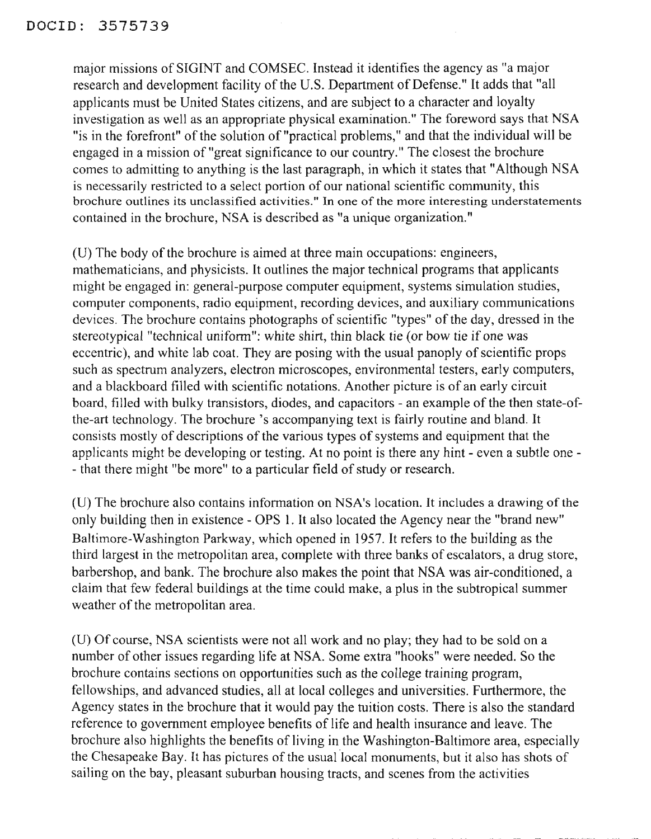major missions of SIGINT and COMSEC. Instead it identifies the agency as "a major research and development facility of the U.S. Department of Defense." It adds that "all applicants must be United States citizens, and are subject to a character and loyalty investigation as well as an appropriate physical examination." The foreword says that NSA "is in the forefront" of the solution of "practical problems," and that the individual will be engaged in a mission of "great significance to our country." The closest the brochure comes to admitting to anything is the last paragraph, in which it states that"Although NSA is necessarily restricted to a select portion of our national scientific community, this brochure outlines its unclassified activities." In one of the more interesting understatements contained in the brochure, NSA is described as "a unique organization."

(U) The body of the brochure is aimed at three main occupations: engineers, mathematicians, and physicists. It outlines the major technical programs that applicants might be engaged in: general-purpose computer equipment, systems simulation studies, computer components, radio equipment, recording devices, and auxiliary communications devices. The brochure contains photographs of scientific "types" of the day, dressed in the stereotypical "technical uniform": white shirt, thin black tie (or bow tie if one was eccentric), and white lab coat. They are posing with the usual panoply of scientific props such as spectrum analyzers, electron microscopes, environmental testers, early computers, and a blackboard filled with scientific notations. Another picture is of an early circuit board, filled with bulky transistors, diodes, and capacitors - an example of the then state-ofthe-art technology. The brochure's accompanying text is fairly routine and bland. It consists mostly of descriptions of the various types of systems and equipment that the applicants might be developing or testing. At no point is there any hint - even a subtle one - - that there might "be more" to a particular field of study or research.

(U) The brochure also contains information on NSA's location. It includes a drawing of the only building then in existence - OPS 1. It also located the Agency near the "brand new" Baltimore-Washington Parkway, which opened in 1957. It refers to the building as the third largest in the metropolitan area, complete with three banks of escalators, a drug store, barbershop, and bank. The brochure also makes the point that NSA was air-conditioned, a claim that few federal buildings at the time could make, a plus in the subtropical summer weather of the metropolitan area.

(U) Of course, NSA scientists were not all work and no play; they had to be sold on a number of other issues regarding life at NSA. Some extra "hooks" were needed. So the brochure contains sections on opportunities such as the college training program, fellowships, and advanced studies, all at local colleges and universities. Furthennore, the Agency states in the brochure that it would pay the tuition costs. There is also the standard reference to government employee benefits of life and health insurance and leave. The brochure also highlights the benefits of living in the Washington-Baltimore area, especially the Chesapeake Bay. It has pictures of the usual local monuments, but it also has shots of sailing on the bay, pleasant suburban housing tracts, and scenes from the activities